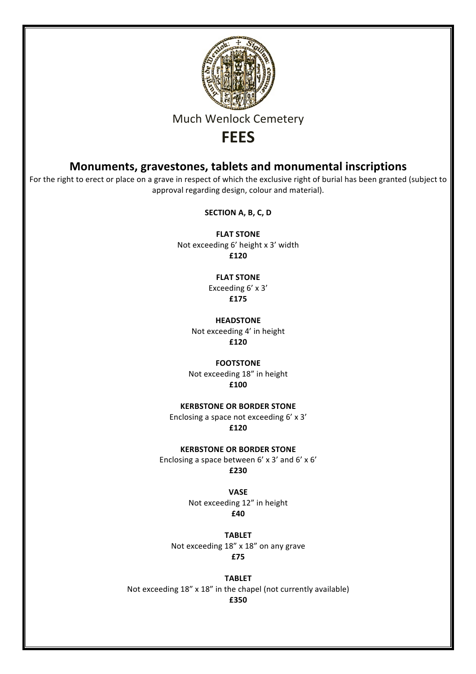

# **Much Wenlock Cemetery**

# **FEES**

# **Monuments, gravestones, tablets and monumental inscriptions**

For the right to erect or place on a grave in respect of which the exclusive right of burial has been granted (subject to approval regarding design, colour and material).

**SECTION A, B, C, D** 

**FLAT STONE** Not exceeding 6' height x 3' width **£120**

> **FLAT STONE** Exceeding 6' x 3' **£175**

**HEADSTONE** Not exceeding 4' in height **£120**

**FOOTSTONE** Not exceeding 18" in height

**£100**

**KERBSTONE OR BORDER STONE** 

Enclosing a space not exceeding  $6' \times 3'$ **£120**

**KERBSTONE OR BORDER STONE** 

Enclosing a space between  $6'$  x 3' and  $6'$  x  $6'$ **£230**

> **VASE** Not exceeding 12" in height **£40**

**TABLET** Not exceeding 18" x 18" on any grave **£75**

**TABLET** Not exceeding  $18''$  x  $18''$  in the chapel (not currently available) **£350**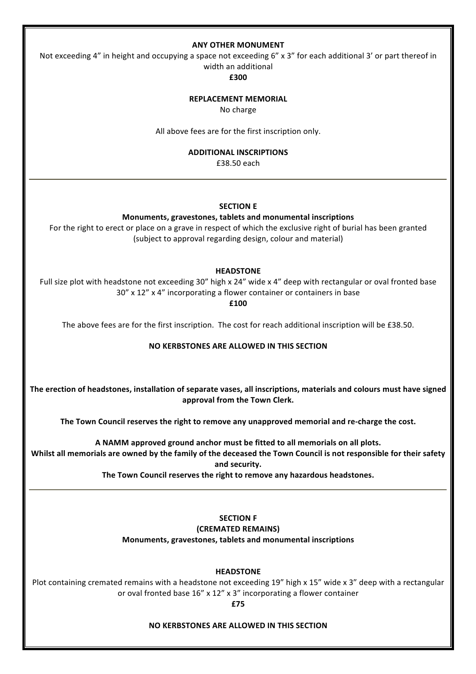### **ANY OTHER MONUMENT**

Not exceeding  $4$ " in height and occupying a space not exceeding  $6$ " x 3" for each additional 3' or part thereof in width an additional

**£300**

#### **REPLACEMENT MEMORIAL**

No charge

All above fees are for the first inscription only.

#### **ADDITIONAL INSCRIPTIONS**

£38.50 each

## **SECTION E**

#### **Monuments, gravestones, tablets and monumental inscriptions**

For the right to erect or place on a grave in respect of which the exclusive right of burial has been granted (subject to approval regarding design, colour and material)

#### **HEADSTONE**

Full size plot with headstone not exceeding 30" high x 24" wide x 4" deep with rectangular or oval fronted base 30" x 12" x 4" incorporating a flower container or containers in base

**£100**

The above fees are for the first inscription. The cost for reach additional inscription will be £38.50.

# **NO KERBSTONES ARE ALLOWED IN THIS SECTION**

The erection of headstones, installation of separate vases, all inscriptions, materials and colours must have signed approval from the Town Clerk.

The Town Council reserves the right to remove any unapproved memorial and re-charge the cost.

A NAMM approved ground anchor must be fitted to all memorials on all plots.

Whilst all memorials are owned by the family of the deceased the Town Council is not responsible for their safety and security.

The Town Council reserves the right to remove any hazardous headstones.

**SECTION F** 

**(CREMATED REMAINS)**

**Monuments, gravestones, tablets and monumental inscriptions** 

**HEADSTONE**

Plot containing cremated remains with a headstone not exceeding 19" high x 15" wide x 3" deep with a rectangular or oval fronted base  $16''$  x  $12''$  x 3" incorporating a flower container

**£75**

#### **NO KERBSTONES ARE ALLOWED IN THIS SECTION**